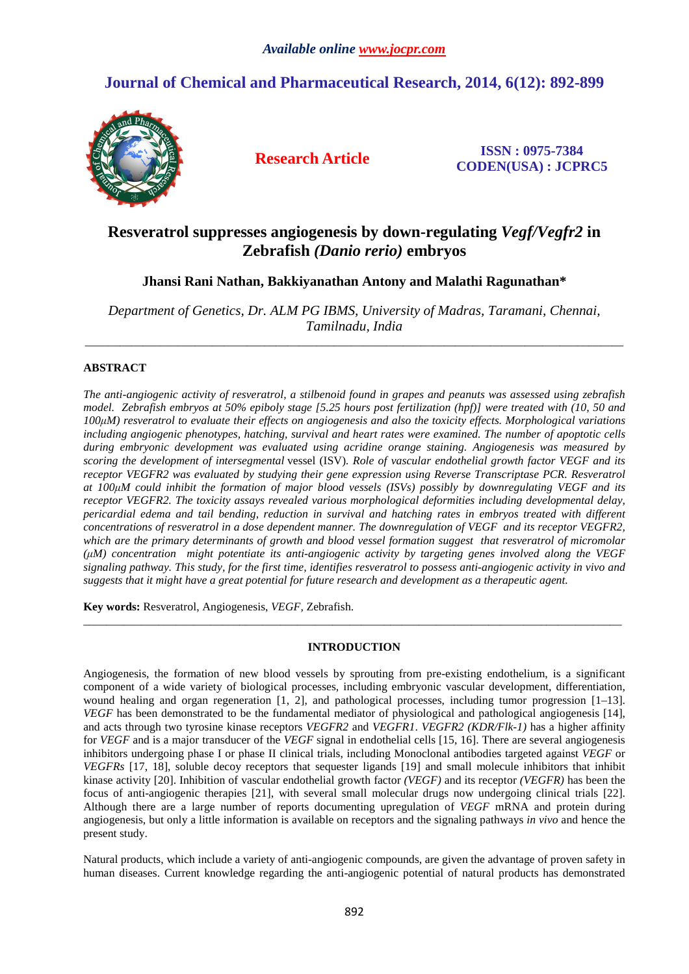# **Journal of Chemical and Pharmaceutical Research, 2014, 6(12): 892-899**



**Research Article ISSN : 0975-7384 CODEN(USA) : JCPRC5**

## **Resveratrol suppresses angiogenesis by down-regulating** *Vegf/Vegfr2* **in Zebrafish** *(Danio rerio)* **embryos**

## **Jhansi Rani Nathan, Bakkiyanathan Antony and Malathi Ragunathan\***

*Department of Genetics, Dr. ALM PG IBMS, University of Madras, Taramani, Chennai, Tamilnadu, India* 

\_\_\_\_\_\_\_\_\_\_\_\_\_\_\_\_\_\_\_\_\_\_\_\_\_\_\_\_\_\_\_\_\_\_\_\_\_\_\_\_\_\_\_\_\_\_\_\_\_\_\_\_\_\_\_\_\_\_\_\_\_\_\_\_\_\_\_\_\_\_\_\_\_\_\_\_\_\_\_\_\_\_\_\_\_\_\_\_\_\_\_\_\_

## **ABSTRACT**

*The anti-angiogenic activity of resveratrol, a stilbenoid found in grapes and peanuts was assessed using zebrafish model. Zebrafish embryos at 50% epiboly stage [5.25 hours post fertilization (hpf)] were treated with (10, 50 and 100µM) resveratrol to evaluate their effects on angiogenesis and also the toxicity effects. Morphological variations including angiogenic phenotypes, hatching, survival and heart rates were examined. The number of apoptotic cells during embryonic development was evaluated using acridine orange staining. Angiogenesis was measured by scoring the development of intersegmental* vessel (ISV)*. Role of vascular endothelial growth factor VEGF and its receptor VEGFR2 was evaluated by studying their gene expression using Reverse Transcriptase PCR. Resveratrol at 100µM could inhibit the formation of major blood vessels (ISVs) possibly by downregulating VEGF and its receptor VEGFR2. The toxicity assays revealed various morphological deformities including developmental delay, pericardial edema and tail bending, reduction in survival and hatching rates in embryos treated with different concentrations of resveratrol in a dose dependent manner. The downregulation of VEGF and its receptor VEGFR2, which are the primary determinants of growth and blood vessel formation suggest that resveratrol of micromolar (µM) concentration might potentiate its anti-angiogenic activity by targeting genes involved along the VEGF signaling pathway. This study, for the first time, identifies resveratrol to possess anti-angiogenic activity in vivo and suggests that it might have a great potential for future research and development as a therapeutic agent.* 

**Key words:** Resveratrol, Angiogenesis, *VEGF,* Zebrafish.

## **INTRODUCTION**

\_\_\_\_\_\_\_\_\_\_\_\_\_\_\_\_\_\_\_\_\_\_\_\_\_\_\_\_\_\_\_\_\_\_\_\_\_\_\_\_\_\_\_\_\_\_\_\_\_\_\_\_\_\_\_\_\_\_\_\_\_\_\_\_\_\_\_\_\_\_\_\_\_\_\_\_\_\_\_\_\_\_\_\_\_\_\_\_\_\_\_\_\_

Angiogenesis, the formation of new blood vessels by sprouting from pre-existing endothelium, is a significant component of a wide variety of biological processes, including embryonic vascular development, differentiation, wound healing and organ regeneration [1, 2], and pathological processes, including tumor progression [1–13]. *VEGF* has been demonstrated to be the fundamental mediator of physiological and pathological angiogenesis [14], and acts through two tyrosine kinase receptors *VEGFR2* and *VEGFR1*. *VEGFR2 (KDR/Flk-1)* has a higher affinity for *VEGF* and is a major transducer of the *VEGF* signal in endothelial cells [15, 16]. There are several angiogenesis inhibitors undergoing phase I or phase II clinical trials, including Monoclonal antibodies targeted against *VEGF* or *VEGFRs* [17, 18], soluble decoy receptors that sequester ligands [19] and small molecule inhibitors that inhibit kinase activity [20]. Inhibition of vascular endothelial growth factor *(VEGF)* and its receptor *(VEGFR)* has been the focus of anti-angiogenic therapies [21], with several small molecular drugs now undergoing clinical trials [22]. Although there are a large number of reports documenting upregulation of *VEGF* mRNA and protein during angiogenesis, but only a little information is available on receptors and the signaling pathways *in vivo* and hence the present study.

Natural products, which include a variety of anti-angiogenic compounds, are given the advantage of proven safety in human diseases. Current knowledge regarding the anti-angiogenic potential of natural products has demonstrated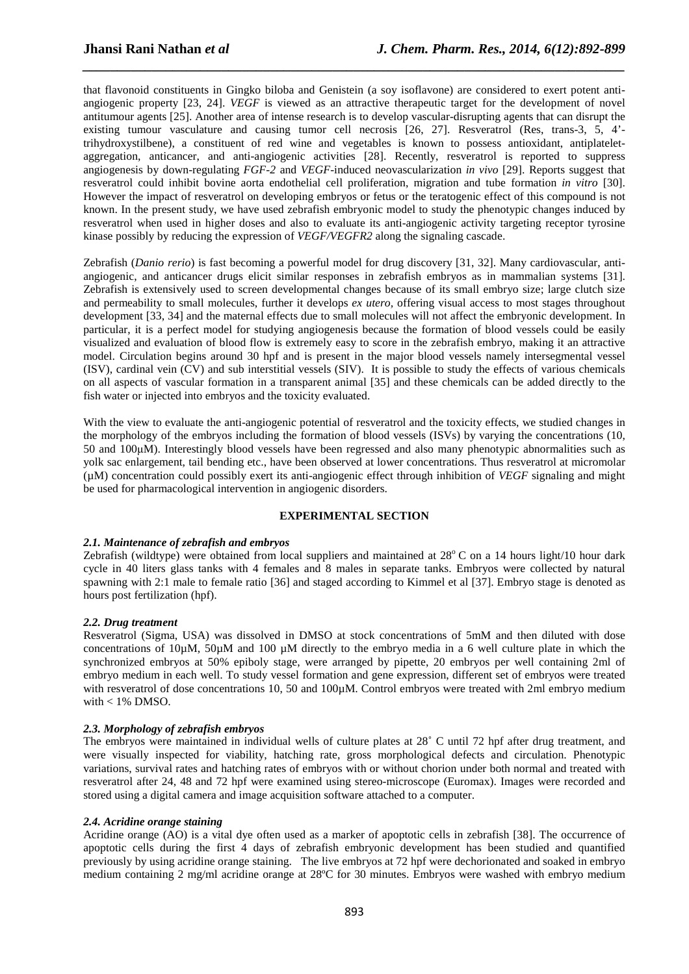that flavonoid constituents in Gingko biloba and Genistein (a soy isoflavone) are considered to exert potent antiangiogenic property [23, 24]. *VEGF* is viewed as an attractive therapeutic target for the development of novel antitumour agents [25]. Another area of intense research is to develop vascular-disrupting agents that can disrupt the existing tumour vasculature and causing tumor cell necrosis [26, 27]. Resveratrol (Res, trans-3, 5, 4' trihydroxystilbene), a constituent of red wine and vegetables is known to possess antioxidant, antiplateletaggregation, anticancer, and anti-angiogenic activities [28]. Recently, resveratrol is reported to suppress angiogenesis by down-regulating *FGF-2* and *VEGF*-induced neovascularization *in vivo* [29]. Reports suggest that resveratrol could inhibit bovine aorta endothelial cell proliferation, migration and tube formation *in vitro* [30]. However the impact of resveratrol on developing embryos or fetus or the teratogenic effect of this compound is not known. In the present study, we have used zebrafish embryonic model to study the phenotypic changes induced by resveratrol when used in higher doses and also to evaluate its anti-angiogenic activity targeting receptor tyrosine kinase possibly by reducing the expression of *VEGF/VEGFR2* along the signaling cascade.

*\_\_\_\_\_\_\_\_\_\_\_\_\_\_\_\_\_\_\_\_\_\_\_\_\_\_\_\_\_\_\_\_\_\_\_\_\_\_\_\_\_\_\_\_\_\_\_\_\_\_\_\_\_\_\_\_\_\_\_\_\_\_\_\_\_\_\_\_\_\_\_\_\_\_\_\_\_\_*

Zebrafish (*Danio rerio*) is fast becoming a powerful model for drug discovery [31, 32]. Many cardiovascular, antiangiogenic, and anticancer drugs elicit similar responses in zebrafish embryos as in mammalian systems [31]. Zebrafish is extensively used to screen developmental changes because of its small embryo size; large clutch size and permeability to small molecules, further it develops *ex utero,* offering visual access to most stages throughout development [33, 34] and the maternal effects due to small molecules will not affect the embryonic development. In particular, it is a perfect model for studying angiogenesis because the formation of blood vessels could be easily visualized and evaluation of blood flow is extremely easy to score in the zebrafish embryo, making it an attractive model. Circulation begins around 30 hpf and is present in the major blood vessels namely intersegmental vessel (ISV), cardinal vein (CV) and sub interstitial vessels (SIV). It is possible to study the effects of various chemicals on all aspects of vascular formation in a transparent animal [35] and these chemicals can be added directly to the fish water or injected into embryos and the toxicity evaluated.

With the view to evaluate the anti-angiogenic potential of resveratrol and the toxicity effects, we studied changes in the morphology of the embryos including the formation of blood vessels (ISVs) by varying the concentrations (10, 50 and 100µM). Interestingly blood vessels have been regressed and also many phenotypic abnormalities such as yolk sac enlargement, tail bending etc., have been observed at lower concentrations. Thus resveratrol at micromolar (µM) concentration could possibly exert its anti-angiogenic effect through inhibition of *VEGF* signaling and might be used for pharmacological intervention in angiogenic disorders.

## **EXPERIMENTAL SECTION**

## *2.1. Maintenance of zebrafish and embryos*

Zebrafish (wildtype) were obtained from local suppliers and maintained at  $28^{\circ}$ C on a 14 hours light/10 hour dark cycle in 40 liters glass tanks with 4 females and 8 males in separate tanks. Embryos were collected by natural spawning with 2:1 male to female ratio [36] and staged according to Kimmel et al [37]. Embryo stage is denoted as hours post fertilization (hpf).

## *2.2. Drug treatment*

Resveratrol (Sigma, USA) was dissolved in DMSO at stock concentrations of 5mM and then diluted with dose concentrations of  $10\mu$ M,  $50\mu$ M and  $100 \mu$ M directly to the embryo media in a 6 well culture plate in which the synchronized embryos at 50% epiboly stage, were arranged by pipette, 20 embryos per well containing 2ml of embryo medium in each well. To study vessel formation and gene expression, different set of embryos were treated with resveratrol of dose concentrations 10, 50 and 100 $\mu$ M. Control embryos were treated with 2ml embryo medium with < 1% DMSO.

## *2.3. Morphology of zebrafish embryos*

The embryos were maintained in individual wells of culture plates at 28° C until 72 hpf after drug treatment, and were visually inspected for viability, hatching rate, gross morphological defects and circulation. Phenotypic variations, survival rates and hatching rates of embryos with or without chorion under both normal and treated with resveratrol after 24, 48 and 72 hpf were examined using stereo-microscope (Euromax). Images were recorded and stored using a digital camera and image acquisition software attached to a computer.

## *2.4. Acridine orange staining*

Acridine orange (AO) is a vital dye often used as a marker of apoptotic cells in zebrafish [38]. The occurrence of apoptotic cells during the first 4 days of zebrafish embryonic development has been studied and quantified previously by using acridine orange staining. The live embryos at 72 hpf were dechorionated and soaked in embryo medium containing 2 mg/ml acridine orange at 28ºC for 30 minutes. Embryos were washed with embryo medium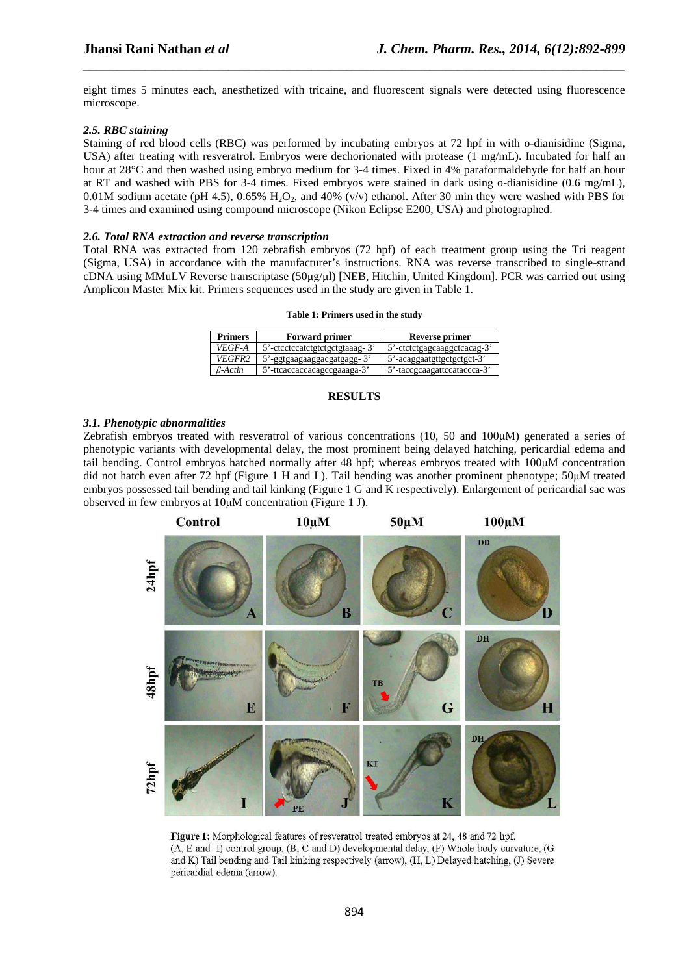eight times 5 minutes each, anesthetized with tricaine, and fluorescent signals were detected using fluorescence microscope.

*\_\_\_\_\_\_\_\_\_\_\_\_\_\_\_\_\_\_\_\_\_\_\_\_\_\_\_\_\_\_\_\_\_\_\_\_\_\_\_\_\_\_\_\_\_\_\_\_\_\_\_\_\_\_\_\_\_\_\_\_\_\_\_\_\_\_\_\_\_\_\_\_\_\_\_\_\_\_*

### *2.5. RBC staining*

Staining of red blood cells (RBC) was performed by incubating embryos at 72 hpf in with o-dianisidine (Sigma, USA) after treating with resveratrol. Embryos were dechorionated with protease (1 mg/mL). Incubated for half an hour at 28°C and then washed using embryo medium for 3-4 times. Fixed in 4% paraformaldehyde for half an hour at RT and washed with PBS for 3-4 times. Fixed embryos were stained in dark using o-dianisidine (0.6 mg/mL), 0.01M sodium acetate (pH 4.5), 0.65%  $H_2O_2$ , and 40% (v/v) ethanol. After 30 min they were washed with PBS for 3-4 times and examined using compound microscope (Nikon Eclipse E200, USA) and photographed.

#### *2.6. Total RNA extraction and reverse transcription*

Total RNA was extracted from 120 zebrafish embryos (72 hpf) of each treatment group using the Tri reagent (Sigma, USA) in accordance with the manufacturer's instructions. RNA was reverse transcribed to single-strand cDNA using MMuLV Reverse transcriptase (50µg/µl) [NEB, Hitchin, United Kingdom]. PCR was carried out using Amplicon Master Mix kit. Primers sequences used in the study are given in Table 1.

#### **Table 1: Primers used in the study**

| <b>Primers</b> | <b>Forward primer</b>          | Reverse primer              |
|----------------|--------------------------------|-----------------------------|
| VEGF-A         | 5'-ctcctccatctgtctgctgtaaag-3' | 5'-ctctctgagcaaggctcacag-3' |
| VEGFR2         | 5'-ggtgaagaaggacgatgagg-3'     | 5'-acaggaatgttgctgctgct-3'  |
| $B-Actin$      | 5'-ttcaccaccacagccgaaaga-3'    | 5'-taccgcaagattccataccca-3' |

#### **RESULTS**

#### *3.1. Phenotypic abnormalities*

Zebrafish embryos treated with resveratrol of various concentrations (10, 50 and 100µM) generated a series of phenotypic variants with developmental delay, the most prominent being delayed hatching, pericardial edema and tail bending. Control embryos hatched normally after 48 hpf; whereas embryos treated with 100µM concentration did not hatch even after 72 hpf (Figure 1 H and L). Tail bending was another prominent phenotype; 50µM treated embryos possessed tail bending and tail kinking (Figure 1 G and K respectively). Enlargement of pericardial sac was observed in few embryos at 10µM concentration (Figure 1 J).



Figure 1: Morphological features of resveratrol treated embryos at 24, 48 and 72 hpf. (A, E and I) control group, (B, C and D) developmental delay, (F) Whole body curvature, (G and K) Tail bending and Tail kinking respectively (arrow), (H, L) Delayed hatching, (J) Severe pericardial edema (arrow).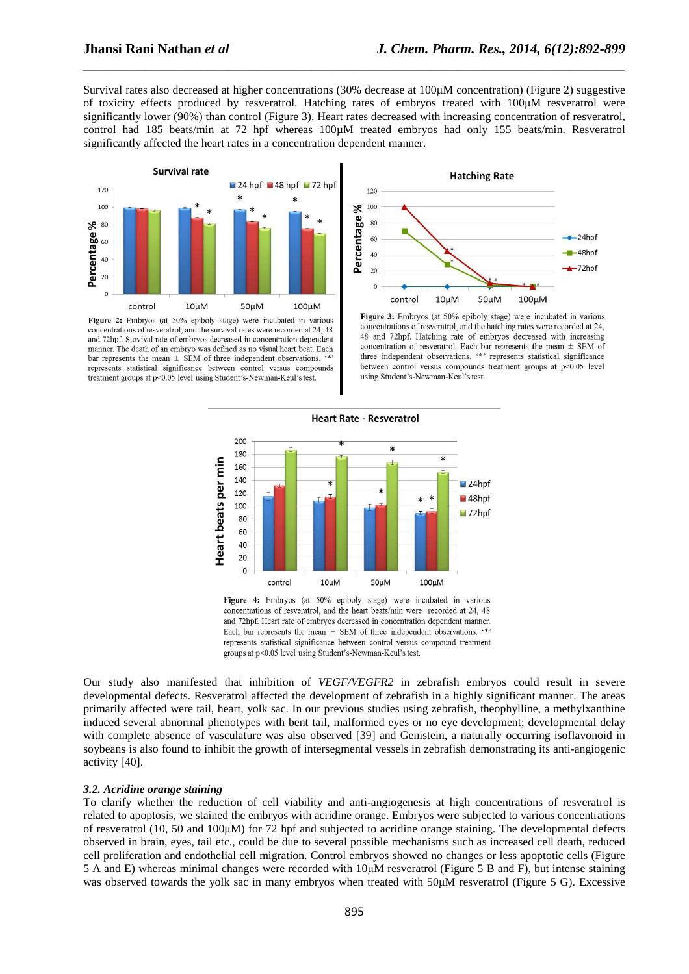Survival rates also decreased at higher concentrations (30% decrease at 100µM concentration) (Figure 2) suggestive of toxicity effects produced by resveratrol. Hatching rates of embryos treated with 100µM resveratrol were significantly lower (90%) than control (Figure 3). Heart rates decreased with increasing concentration of resveratrol, control had 185 beats/min at 72 hpf whereas 100 $\mu$ M treated embryos had only 155 beats/min. Resveratrol significantly affected the heart rates in a concentration dependent manner.

*\_\_\_\_\_\_\_\_\_\_\_\_\_\_\_\_\_\_\_\_\_\_\_\_\_\_\_\_\_\_\_\_\_\_\_\_\_\_\_\_\_\_\_\_\_\_\_\_\_\_\_\_\_\_\_\_\_\_\_\_\_\_\_\_\_\_\_\_\_\_\_\_\_\_\_\_\_\_*



Figure 2: Embryos (at 50% epiboly stage) were incubated in various concentrations of resveratrol, and the survival rates were recorded at 24, 48 and 72hpf. Survival rate of embryos decreased in concentration dependent manner. The death of an embryo was defined as no visual heart beat. Each bar represents the mean  $\pm$  SEM of three independent observations. represents statistical significance between control versus compounds treatment groups at p<0.05 level using Student's-Newman-Keul's test.



Figure 3: Embryos (at 50% epiboly stage) were incubated in various concentrations of resveratrol, and the hatching rates were recorded at 24. 48 and 72hpf. Hatching rate of embryos decreased with increasing concentration of resveratrol. Each bar represents the mean  $\pm$  SEM of three independent observations. '\*' represents statistical significance between control versus compounds treatment groups at p<0.05 level using Student's-Newman-Keul's test.



concentrations of resveratrol, and the heart beats/min were recorded at 24, 48 and 72hpf. Heart rate of embryos decreased in concentration dependent manner. Each bar represents the mean  $\pm$  SEM of three independent observations. " represents statistical significance between control versus compound treatment groups at p<0.05 level using Student's-Newman-Keul's test.

Our study also manifested that inhibition of *VEGF/VEGFR2* in zebrafish embryos could result in severe developmental defects. Resveratrol affected the development of zebrafish in a highly significant manner. The areas primarily affected were tail, heart, yolk sac. In our previous studies using zebrafish, theophylline, a methylxanthine induced several abnormal phenotypes with bent tail, malformed eyes or no eye development; developmental delay with complete absence of vasculature was also observed [39] and Genistein, a naturally occurring isoflavonoid in soybeans is also found to inhibit the growth of intersegmental vessels in zebrafish demonstrating its anti-angiogenic activity [40].

#### *3.2. Acridine orange staining*

To clarify whether the reduction of cell viability and anti-angiogenesis at high concentrations of resveratrol is related to apoptosis, we stained the embryos with acridine orange. Embryos were subjected to various concentrations of resveratrol (10, 50 and 100µM) for 72 hpf and subjected to acridine orange staining. The developmental defects observed in brain, eyes, tail etc., could be due to several possible mechanisms such as increased cell death, reduced cell proliferation and endothelial cell migration. Control embryos showed no changes or less apoptotic cells (Figure 5 A and E) whereas minimal changes were recorded with 10µM resveratrol (Figure 5 B and F), but intense staining was observed towards the yolk sac in many embryos when treated with 50 $\mu$ M resveratrol (Figure 5 G). Excessive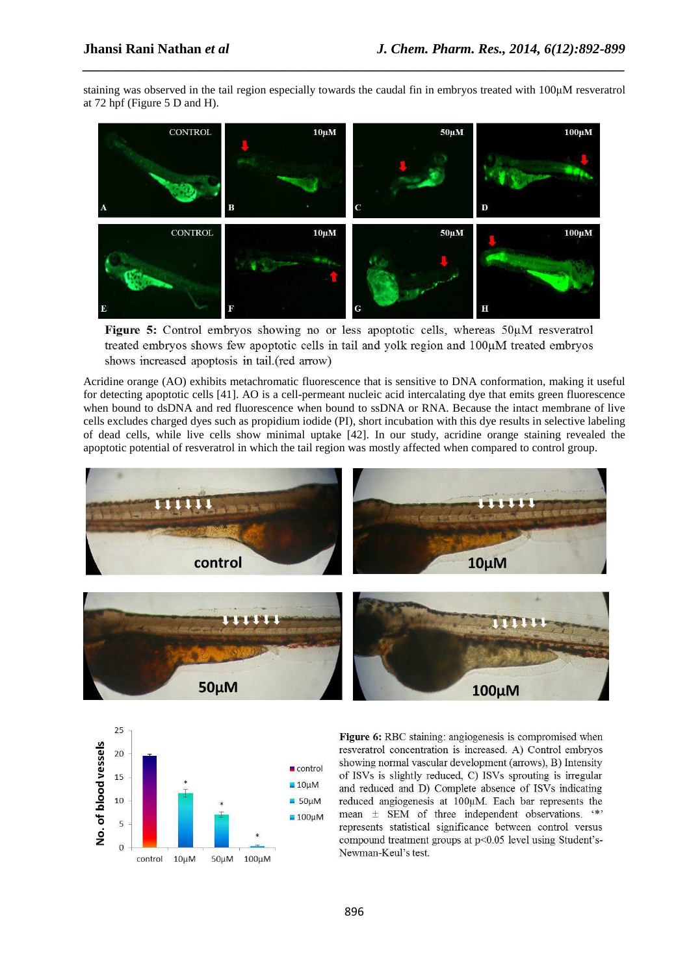staining was observed in the tail region especially towards the caudal fin in embryos treated with 100µM resveratrol at 72 hpf (Figure 5 D and H).

*\_\_\_\_\_\_\_\_\_\_\_\_\_\_\_\_\_\_\_\_\_\_\_\_\_\_\_\_\_\_\_\_\_\_\_\_\_\_\_\_\_\_\_\_\_\_\_\_\_\_\_\_\_\_\_\_\_\_\_\_\_\_\_\_\_\_\_\_\_\_\_\_\_\_\_\_\_\_*



Figure 5: Control embryos showing no or less apoptotic cells, whereas  $50\mu$ M resveratrol treated embryos shows few apoptotic cells in tail and yolk region and 100µM treated embryos shows increased apoptosis in tail (red arrow)

Acridine orange (AO) exhibits metachromatic fluorescence that is sensitive to DNA conformation, making it useful for detecting apoptotic cells [41]. AO is a cell-permeant nucleic acid intercalating dye that emits green fluorescence when bound to dsDNA and red fluorescence when bound to ssDNA or RNA. Because the intact membrane of live cells excludes charged dyes such as propidium iodide (PI), short incubation with this dye results in selective labeling of dead cells, while live cells show minimal uptake [42]. In our study, acridine orange staining revealed the apoptotic potential of resveratrol in which the tail region was mostly affected when compared to control group.





Figure 6: RBC staining: angiogenesis is compromised when resveratrol concentration is increased. A) Control embryos showing normal vascular development (arrows), B) Intensity of ISVs is slightly reduced, C) ISVs sprouting is irregular and reduced and D) Complete absence of ISVs indicating reduced angiogenesis at 100µM. Each bar represents the mean ± SEM of three independent observations. "\*" represents statistical significance between control versus compound treatment groups at p<0.05 level using Student's-Newman-Keul's test.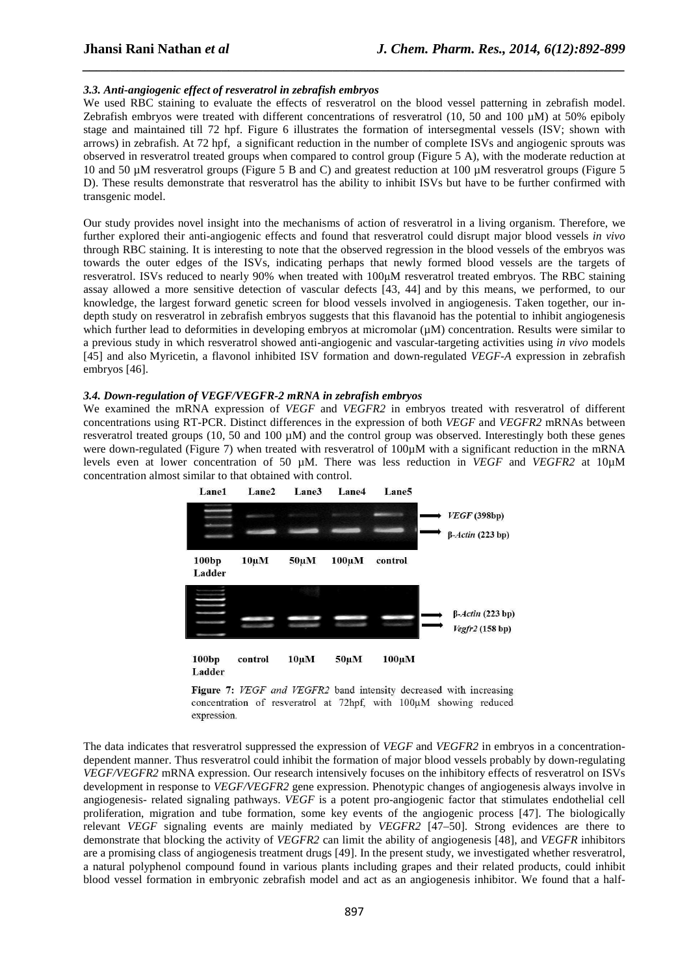## *3.3. Anti-angiogenic effect of resveratrol in zebrafish embryos*

We used RBC staining to evaluate the effects of resveratrol on the blood vessel patterning in zebrafish model. Zebrafish embryos were treated with different concentrations of resveratrol (10, 50 and 100 µM) at 50% epiboly stage and maintained till 72 hpf. Figure 6 illustrates the formation of intersegmental vessels (ISV; shown with arrows) in zebrafish. At 72 hpf, a significant reduction in the number of complete ISVs and angiogenic sprouts was observed in resveratrol treated groups when compared to control group (Figure 5 A), with the moderate reduction at 10 and 50 µM resveratrol groups (Figure 5 B and C) and greatest reduction at 100 µM resveratrol groups (Figure 5 D). These results demonstrate that resveratrol has the ability to inhibit ISVs but have to be further confirmed with transgenic model.

*\_\_\_\_\_\_\_\_\_\_\_\_\_\_\_\_\_\_\_\_\_\_\_\_\_\_\_\_\_\_\_\_\_\_\_\_\_\_\_\_\_\_\_\_\_\_\_\_\_\_\_\_\_\_\_\_\_\_\_\_\_\_\_\_\_\_\_\_\_\_\_\_\_\_\_\_\_\_*

Our study provides novel insight into the mechanisms of action of resveratrol in a living organism. Therefore, we further explored their anti-angiogenic effects and found that resveratrol could disrupt major blood vessels *in vivo*  through RBC staining. It is interesting to note that the observed regression in the blood vessels of the embryos was towards the outer edges of the ISVs, indicating perhaps that newly formed blood vessels are the targets of resveratrol. ISVs reduced to nearly 90% when treated with 100µM resveratrol treated embryos. The RBC staining assay allowed a more sensitive detection of vascular defects [43, 44] and by this means, we performed, to our knowledge, the largest forward genetic screen for blood vessels involved in angiogenesis. Taken together, our indepth study on resveratrol in zebrafish embryos suggests that this flavanoid has the potential to inhibit angiogenesis which further lead to deformities in developing embryos at micromolar ( $\mu$ M) concentration. Results were similar to a previous study in which resveratrol showed anti-angiogenic and vascular-targeting activities using *in vivo* models [45] and also Myricetin, a flavonol inhibited ISV formation and down-regulated *VEGF-A* expression in zebrafish embryos [46].

#### *3.4. Down-regulation of VEGF/VEGFR-2 mRNA in zebrafish embryos*

We examined the mRNA expression of *VEGF* and *VEGFR2* in embryos treated with resveratrol of different concentrations using RT-PCR. Distinct differences in the expression of both *VEGF* and *VEGFR2* mRNAs between resveratrol treated groups (10, 50 and 100  $\mu$ M) and the control group was observed. Interestingly both these genes were down-regulated (Figure 7) when treated with resveratrol of 100µM with a significant reduction in the mRNA levels even at lower concentration of 50 µM. There was less reduction in *VEGF* and *VEGFR2* at 10µM concentration almost similar to that obtained with control.





The data indicates that resveratrol suppressed the expression of *VEGF* and *VEGFR2* in embryos in a concentrationdependent manner. Thus resveratrol could inhibit the formation of major blood vessels probably by down-regulating *VEGF/VEGFR2* mRNA expression. Our research intensively focuses on the inhibitory effects of resveratrol on ISVs development in response to *VEGF/VEGFR2* gene expression. Phenotypic changes of angiogenesis always involve in angiogenesis- related signaling pathways. *VEGF* is a potent pro-angiogenic factor that stimulates endothelial cell proliferation, migration and tube formation, some key events of the angiogenic process [47]. The biologically relevant *VEGF* signaling events are mainly mediated by *VEGFR2* [47–50]. Strong evidences are there to demonstrate that blocking the activity of *VEGFR2* can limit the ability of angiogenesis [48], and *VEGFR* inhibitors are a promising class of angiogenesis treatment drugs [49]. In the present study, we investigated whether resveratrol, a natural polyphenol compound found in various plants including grapes and their related products, could inhibit blood vessel formation in embryonic zebrafish model and act as an angiogenesis inhibitor. We found that a half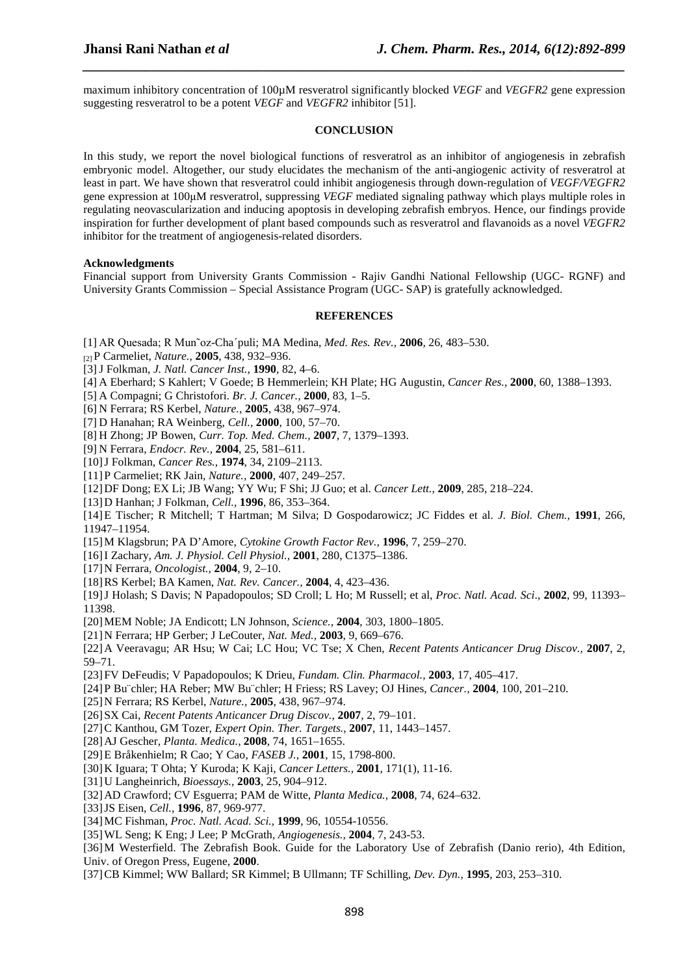maximum inhibitory concentration of 100µM resveratrol significantly blocked *VEGF* and *VEGFR2* gene expression suggesting resveratrol to be a potent *VEGF* and *VEGFR2* inhibitor [51].

*\_\_\_\_\_\_\_\_\_\_\_\_\_\_\_\_\_\_\_\_\_\_\_\_\_\_\_\_\_\_\_\_\_\_\_\_\_\_\_\_\_\_\_\_\_\_\_\_\_\_\_\_\_\_\_\_\_\_\_\_\_\_\_\_\_\_\_\_\_\_\_\_\_\_\_\_\_\_*

#### **CONCLUSION**

In this study, we report the novel biological functions of resveratrol as an inhibitor of angiogenesis in zebrafish embryonic model. Altogether, our study elucidates the mechanism of the anti-angiogenic activity of resveratrol at least in part. We have shown that resveratrol could inhibit angiogenesis through down-regulation of *VEGF/VEGFR2* gene expression at 100µM resveratrol, suppressing *VEGF* mediated signaling pathway which plays multiple roles in regulating neovascularization and inducing apoptosis in developing zebrafish embryos. Hence, our findings provide inspiration for further development of plant based compounds such as resveratrol and flavanoids as a novel *VEGFR2* inhibitor for the treatment of angiogenesis-related disorders.

#### **Acknowledgments**

Financial support from University Grants Commission - Rajiv Gandhi National Fellowship (UGC- RGNF) and University Grants Commission – Special Assistance Program (UGC- SAP) is gratefully acknowledged.

## **REFERENCES**

- [1] AR Quesada; R Mun˜oz-Cha´puli; MA Medina, *Med. Res. Rev.,* **2006**, 26, 483–530.
- [2] P Carmeliet, *Nature.,* **2005**, 438, 932–936.
- [3]J Folkman, *J. Natl. Cancer Inst.,* **1990**, 82, 4–6.
- [4] A Eberhard; S Kahlert; V Goede; B Hemmerlein; KH Plate; HG Augustin, *Cancer Res.,* **2000**, 60, 1388–1393.
- [5] A Compagni; G Christofori. *Br. J. Cancer.,* **2000**, 83, 1–5.
- [6] N Ferrara; RS Kerbel, *Nature.,* **2005**, 438, 967–974.
- [7] D Hanahan; RA Weinberg, *Cell.,* **2000**, 100, 57–70.
- [8] H Zhong; JP Bowen, *Curr. Top. Med. Chem.,* **2007**, 7, 1379–1393.
- [9] N Ferrara, *Endocr. Rev.,* **2004**, 25, 581–611.
- [10]J Folkman, *Cancer Res.,* **1974**, 34, 2109–2113.
- [11]P Carmeliet; RK Jain, *Nature.,* **2000**, 407, 249–257.
- [12]DF Dong; EX Li; JB Wang; YY Wu; F Shi; JJ Guo; et al. *Cancer Lett.,* **2009**, 285, 218–224.
- [13]D Hanhan; J Folkman, *Cell.,* **1996**, 86, 353–364.
- [14]E Tischer; R Mitchell; T Hartman; M Silva; D Gospodarowicz; JC Fiddes et al. *J. Biol. Chem.,* **1991**, 266, 11947–11954.
- [15]M Klagsbrun; PA D'Amore, *Cytokine Growth Factor Rev.,* **1996**, 7, 259–270.
- [16]I Zachary, *Am. J. Physiol. Cell Physiol.,* **2001**, 280, C1375–1386.
- [17]N Ferrara, *Oncologist.,* **2004**, 9, 2–10.
- [18]RS Kerbel; BA Kamen, *Nat. Rev. Cancer.,* **2004**, 4, 423–436.

[19]J Holash; S Davis; N Papadopoulos; SD Croll; L Ho; M Russell; et al, *Proc. Natl. Acad. Sci*., **2002**, 99, 11393– 11398.

- [20]MEM Noble; JA Endicott; LN Johnson, *Science.,* **2004**, 303, 1800–1805.
- [21]N Ferrara; HP Gerber; J LeCouter, *Nat. Med.,* **2003**, 9, 669–676.

[22]A Veeravagu; AR Hsu; W Cai; LC Hou; VC Tse; X Chen, *Recent Patents Anticancer Drug Discov.,* **2007**, 2, 59–71.

- [23]FV DeFeudis; V Papadopoulos; K Drieu, *Fundam. Clin. Pharmacol.,* **2003**, 17, 405–417.
- [24]P Bu¨chler; HA Reber; MW Bu¨chler; H Friess; RS Lavey; OJ Hines, *Cancer.,* **2004**, 100, 201–210.
- [25]N Ferrara; RS Kerbel, *Nature.,* **2005**, 438, 967–974.
- [26]SX Cai, *Recent Patents Anticancer Drug Discov.,* **2007**, 2, 79–101.
- [27]C Kanthou, GM Tozer, *Expert Opin. Ther. Targets.,* **2007**, 11, 1443–1457.
- [28]AJ Gescher, *Planta. Medica.,* **2008**, 74, 1651–1655.
- [29]E Bråkenhielm; R Cao; Y Cao, *FASEB J.,* **2001**, 15, 1798-800.
- [30]K Iguara; T Ohta; Y Kuroda; K Kaji, *Cancer Letters.,* **2001**, 171(1), 11-16.
- [31]U Langheinrich, *Bioessays.,* **2003**, 25, 904–912.
- [32]AD Crawford; CV Esguerra; PAM de Witte, *Planta Medica.,* **2008**, 74, 624–632.
- [33]JS Eisen, *Cell.,* **1996**, 87, 969-977.
- [34]MC Fishman, *Proc. Natl. Acad. Sci.,* **1999**, 96, 10554-10556.
- [35]WL Seng; K Eng; J Lee; P McGrath, *Angiogenesis.,* **2004**, 7, 243-53.

[36]M Westerfield. The Zebrafish Book. Guide for the Laboratory Use of Zebrafish (Danio rerio), 4th Edition, Univ. of Oregon Press, Eugene, **2000**.

[37]CB Kimmel; WW Ballard; SR Kimmel; B Ullmann; TF Schilling, *Dev. Dyn.,* **1995**, 203, 253–310.